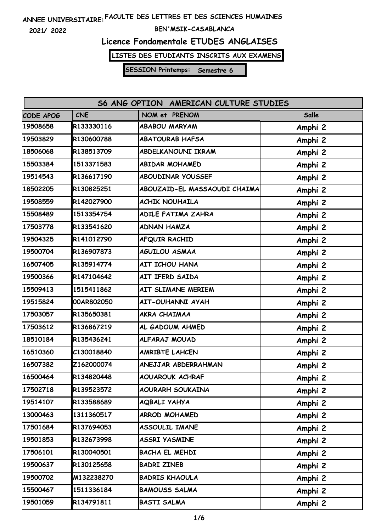**2021/ 2022**

#### **BEN'MSIK-CASABLANCA**

### **Licence Fondamentale ETUDES ANGLAISES**

**LISTES DES ETUDIANTS INSCRITS AUX EXAMENS**

| S6 ANG OPTION AMERICAN CULTURE STUDIES |            |                              |         |
|----------------------------------------|------------|------------------------------|---------|
| CODE APOG                              | <b>CNE</b> | NOM et PRENOM                | Salle   |
| 19508658                               | R133330116 | <b>ABABOU MARYAM</b>         | Amphi 2 |
| 19503829                               | R130600788 | <b>ABATOURAB HAFSA</b>       | Amphi 2 |
| 18506068                               | R138513709 | ABDELKANOUNI IKRAM           | Amphi 2 |
| 15503384                               | 1513371583 | <b>ABIDAR MOHAMED</b>        | Amphi 2 |
| 19514543                               | R136617190 | ABOUDINAR YOUSSEF            | Amphi 2 |
| 18502205                               | R130825251 | ABOUZAID-EL MASSAOUDI CHAIMA | Amphi 2 |
| 19508559                               | R142027900 | <b>ACHIK NOUHAILA</b>        | Amphi 2 |
| 15508489                               | 1513354754 | ADILE FATIMA ZAHRA           | Amphi 2 |
| 17503778                               | R133541620 | <b>ADNAN HAMZA</b>           | Amphi 2 |
| 19504325                               | R141012790 | AFQUIR RACHID                | Amphi 2 |
| 19500704                               | R136907873 | <b>AGUILOU ASMAA</b>         | Amphi 2 |
| 16507405                               | R135914774 | AIT ICHOU HANA               | Amphi 2 |
| 19500366                               | R147104642 | AIT IFERD SAIDA              | Amphi 2 |
| 15509413                               | 1515411862 | AIT SLIMANE MERIEM           | Amphi 2 |
| 19515824                               | 00AR802050 | <b>AIT-OUHANNI AYAH</b>      | Amphi 2 |
| 17503057                               | R135650381 | AKRA CHAIMAA                 | Amphi 2 |
| 17503612                               | R136867219 | AL GADOUM AHMED              | Amphi 2 |
| 18510184                               | R135436241 | ALFARAJ MOUAD                | Amphi 2 |
| 16510360                               | C130018840 | <b>AMRIBTE LAHCEN</b>        | Amphi 2 |
| 16507382                               | Z162000074 | ANEJJAR ABDERRAHMAN          | Amphi 2 |
| 16500464                               | R134820448 | <b>AOUAROUK ACHRAF</b>       | Amphi 2 |
| 17502718                               | R139523572 | AOURARH SOUKAINA             | Amphi 2 |
| 19514107                               | R133588689 | <b>AQBALI YAHYA</b>          | Amphi 2 |
| 13000463                               | 1311360517 | ARROD MOHAMED                | Amphi 2 |
| 17501684                               | R137694053 | ASSOULIL IMANE               | Amphi 2 |
| 19501853                               | R132673998 | <b>ASSRI YASMINE</b>         | Amphi 2 |
| 17506101                               | R130040501 | BACHA EL MEHDI               | Amphi 2 |
| 19500637                               | R130125658 | <b>BADRI ZINEB</b>           | Amphi 2 |
| 19500702                               | M132238270 | <b>BADRIS KHAOULA</b>        | Amphi 2 |
| 15500467                               | 1511336184 | <b>BAMOUSS SALMA</b>         | Amphi 2 |
| 19501059                               | R134791811 | <b>BASTI SALMA</b>           | Amphi 2 |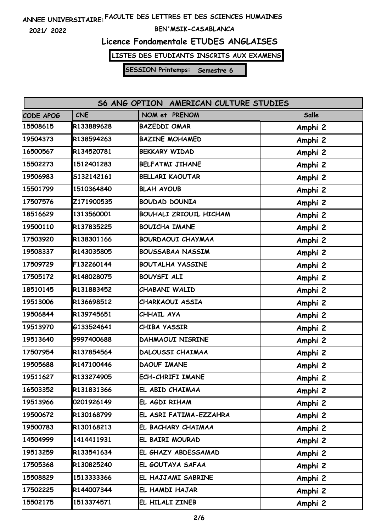**2021/ 2022**

#### **BEN'MSIK-CASABLANCA**

# **Licence Fondamentale ETUDES ANGLAISES**

**LISTES DES ETUDIANTS INSCRITS AUX EXAMENS**

| S6 ANG OPTION AMERICAN CULTURE STUDIES |            |                               |              |  |
|----------------------------------------|------------|-------------------------------|--------------|--|
| CODE APOG                              | <b>CNE</b> | NOM et PRENOM                 | <b>Salle</b> |  |
| 15508615                               | R133889628 | <b>BAZEDDI OMAR</b>           | Amphi 2      |  |
| 19504373                               | R138594263 | <b>BAZINE MOHAMED</b>         | Amphi 2      |  |
| 16500567                               | R134520781 | <b>BEKKARY WIDAD</b>          | Amphi 2      |  |
| 15502273                               | 1512401283 | <b>BELFATMI JIHANE</b>        | Amphi 2      |  |
| 19506983                               | S132142161 | <b>BELLARI KAOUTAR</b>        | Amphi 2      |  |
| 15501799                               | 1510364840 | <b>BLAH AYOUB</b>             | Amphi 2      |  |
| 17507576                               | Z171900535 | <b>BOUDAD DOUNIA</b>          | Amphi 2      |  |
| 18516629                               | 1313560001 | <b>BOUHALI ZRIOUIL HICHAM</b> | Amphi 2      |  |
| 19500110                               | R137835225 | <b>BOUICHA IMANE</b>          | Amphi 2      |  |
| 17503920                               | R138301166 | <b>BOURDAOUI CHAYMAA</b>      | Amphi 2      |  |
| 19508337                               | R143035805 | <b>BOUSSABAA NASSIM</b>       | Amphi 2      |  |
| 17509729                               | F132260144 | <b>BOUTALHA YASSINE</b>       | Amphi 2      |  |
| 17505172                               | R148028075 | <b>BOUYSFI ALI</b>            | Amphi 2      |  |
| 18510145                               | R131883452 | CHABANI WALID                 | Amphi 2      |  |
| 19513006                               | R136698512 | CHARKAOUI ASSIA               | Amphi 2      |  |
| 19506844                               | R139745651 | CHHAIL AYA                    | Amphi 2      |  |
| 19513970                               | G133524641 | CHIBA YASSIR                  | Amphi 2      |  |
| 19513640                               | 9997400688 | <b>DAHMAOUI NISRINE</b>       | Amphi 2      |  |
| 17507954                               | R137854564 | DALOUSSI CHAIMAA              | Amphi 2      |  |
| 19505688                               | R147100446 | <b>DAOUF IMANE</b>            | Amphi 2      |  |
| 19511627                               | R133274905 | ECH-CHRIFI IMANE              | Amphi 2      |  |
| 16503352                               | R131831366 | EL ABID CHAIMAA               | Amphi 2      |  |
| 19513966                               | 0201926149 | EL AGDI RIHAM                 | Amphi 2      |  |
| 19500672                               | R130168799 | EL ASRI FATIMA-EZZAHRA        | Amphi 2      |  |
| 19500783                               | R130168213 | EL BACHARY CHAIMAA            | Amphi 2      |  |
| 14504999                               | 1414411931 | EL BAIRI MOURAD               | Amphi 2      |  |
| 19513259                               | R133541634 | EL GHAZY ABDESSAMAD           | Amphi 2      |  |
| 17505368                               | R130825240 | EL GOUTAYA SAFAA              | Amphi 2      |  |
| 15508829                               | 1513333366 | EL HAJJAMI SABRINE            | Amphi 2      |  |
| 17502225                               | R144007344 | EL HAMDI HAJAR                | Amphi 2      |  |
| 15502175                               | 1513374571 | EL HILALI ZINEB               | Amphi 2      |  |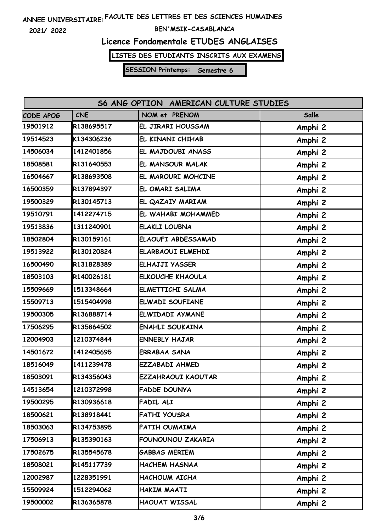**2021/ 2022**

#### **BEN'MSIK-CASABLANCA**

### **Licence Fondamentale ETUDES ANGLAISES**

**LISTES DES ETUDIANTS INSCRITS AUX EXAMENS**

| S6 ANG OPTION AMERICAN CULTURE STUDIES |            |                           |         |  |
|----------------------------------------|------------|---------------------------|---------|--|
| CODE APOG                              | <b>CNE</b> | NOM et PRENOM             | Salle   |  |
| 19501912                               | R138695517 | EL JIRARI HOUSSAM         | Amphi 2 |  |
| 19514523                               | K134306236 | EL KINANI CHIHAB          | Amphi 2 |  |
| 14506034                               | 1412401856 | EL MAJDOUBI ANASS         | Amphi 2 |  |
| 18508581                               | R131640553 | EL MANSOUR MALAK          | Amphi 2 |  |
| 16504667                               | R138693508 | EL MAROURI MOHCINE        | Amphi 2 |  |
| 16500359                               | R137894397 | EL OMARI SALIMA           | Amphi 2 |  |
| 19500329                               | R130145713 | EL QAZAIY MARIAM          | Amphi 2 |  |
| 19510791                               | 1412274715 | EL WAHABI MOHAMMED        | Amphi 2 |  |
| 19513836                               | 1311240901 | <b>ELAKLI LOUBNA</b>      | Amphi 2 |  |
| 18502804                               | R130159161 | ELAOUFI ABDESSAMAD        | Amphi 2 |  |
| 19513922                               | R130120824 | <b>ELARBAOUI ELMEHDI</b>  | Amphi 2 |  |
| 16500490                               | R131828389 | <b>ELHAJJI YASSER</b>     | Amphi 2 |  |
| 18503103                               | R140026181 | <b>ELKOUCHE KHAOULA</b>   | Amphi 2 |  |
| 15509669                               | 1513348664 | ELMETTICHI SALMA          | Amphi 2 |  |
| 15509713                               | 1515404998 | ELWADI SOUFIANE           | Amphi 2 |  |
| 19500305                               | R136888714 | ELWIDADI AYMANE           | Amphi 2 |  |
| 17506295                               | R135864502 | <b>ENAHLI SOUKAINA</b>    | Amphi 2 |  |
| 12004903                               | 1210374844 | <b>ENNEBLY HAJAR</b>      | Amphi 2 |  |
| 14501672                               | 1412405695 | <b>ERRABAA SANA</b>       | Amphi 2 |  |
| 18516049                               | 1411239478 | <b>EZZABADI AHMED</b>     | Amphi 2 |  |
| 18503091                               | R134356043 | <b>EZZAHRAOUI KAOUTAR</b> | Amphi 2 |  |
| 14513654                               | 1210372998 | <b>FADDE DOUNYA</b>       | Amphi 2 |  |
| 19500295                               | R130936618 | <b>FADIL ALI</b>          | Amphi 2 |  |
| 18500621                               | R138918441 | <b>FATHI YOUSRA</b>       | Amphi 2 |  |
| 18503063                               | R134753895 | FATIH OUMAIMA             | Amphi 2 |  |
| 17506913                               | R135390163 | FOUNOUNOU ZAKARIA         | Amphi 2 |  |
| 17502675                               | R135545678 | <b>GABBAS MERIEM</b>      | Amphi 2 |  |
| 18508021                               | R145117739 | <b>HACHEM HASNAA</b>      | Amphi 2 |  |
| 12002987                               | 1228351991 | HACHOUM AICHA             | Amphi 2 |  |
| 15509924                               | 1512294062 | HAKIM MAATI               | Amphi 2 |  |
| 19500002                               | R136365878 | <b>HAOUAT WISSAL</b>      | Amphi 2 |  |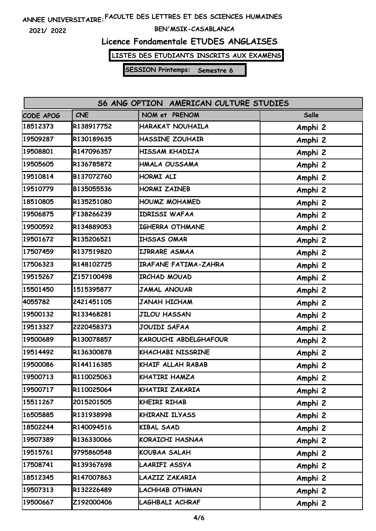**2021/ 2022**

#### **BEN'MSIK-CASABLANCA**

# **Licence Fondamentale ETUDES ANGLAISES**

**LISTES DES ETUDIANTS INSCRITS AUX EXAMENS**

| S6 ANG OPTION AMERICAN CULTURE STUDIES |            |                             |              |  |
|----------------------------------------|------------|-----------------------------|--------------|--|
| CODE APOG                              | <b>CNE</b> | NOM et PRENOM               | <b>Salle</b> |  |
| 18512373                               | R138917752 | HARAKAT NOUHAILA            | Amphi 2      |  |
| 19509287                               | R130189635 | <b>HASSINE ZOUHAIR</b>      | Amphi 2      |  |
| 19508801                               | R147096357 | HISSAM KHADIJA              | Amphi 2      |  |
| 19505605                               | R136785872 | HMALA OUSSAMA               | Amphi 2      |  |
| 19510814                               | B137072760 | HORMI ALI                   | Amphi 2      |  |
| 19510779                               | B135055536 | <b>HORMI ZAINEB</b>         | Amphi 2      |  |
| 18510805                               | R135251080 | <b>HOUMZ MOHAMED</b>        | Amphi 2      |  |
| 19506875                               | F138266239 | <b>IDRISSI WAFAA</b>        | Amphi 2      |  |
| 19500592                               | R134889053 | <b>IGHERRA OTHMANE</b>      | Amphi 2      |  |
| 19501672                               | R135206521 | <b>IHSSAS OMAR</b>          | Amphi 2      |  |
| 17507459                               | R137519820 | IJRRARE ASMAA               | Amphi 2      |  |
| 17506323                               | R148102725 | <b>IRAFANE FATIMA-ZAHRA</b> | Amphi 2      |  |
| 19515267                               | Z157100498 | <b>IRCHAD MOUAD</b>         | Amphi 2      |  |
| 15501450                               | 1515395877 | JAMAL ANOUAR                | Amphi 2      |  |
| 4055782                                | 2421451105 | <b>JANAH HICHAM</b>         | Amphi 2      |  |
| 19500132                               | R133468281 | <b>JILOU HASSAN</b>         | Amphi 2      |  |
| 19513327                               | 2220458373 | <b>JOUIDI SAFAA</b>         | Amphi 2      |  |
| 19500689                               | R130078857 | KAROUCHI ABDELGHAFOUR       | Amphi 2      |  |
| 19514492                               | R136300878 | <b>KHACHABI NISSRINE</b>    | Amphi 2      |  |
| 19500086                               | R144116385 | KHAIF ALLAH RABAB           | Amphi 2      |  |
| 19500713                               | R110025063 | KHATIRI HAMZA               | Amphi 2      |  |
| 19500717                               | R110025064 | KHATIRI ZAKARIA             | Amphi 2      |  |
| 15511267                               | 2015201505 | KHEIRI RIHAB                | Amphi 2      |  |
| 16505885                               | R131938998 | KHIRANI ILYASS              | Amphi 2      |  |
| 18502244                               | R140094516 | <b>KIBAL SAAD</b>           | Amphi 2      |  |
| 19507389                               | R136330066 | KORAICHI HASNAA             | Amphi 2      |  |
| 19515761                               | 9795860548 | KOUBAA SALAH                | Amphi 2      |  |
| 17508741                               | R139367698 | LAARIFI ASSYA               | Amphi 2      |  |
| 18512345                               | R147007863 | LAAZIZ ZAKARIA              | Amphi 2      |  |
| 19507313                               | R132226489 | <b>LACHHAB OTHMAN</b>       | Amphi 2      |  |
| 19500667                               | Z192000406 | <b>LAGHBALI ACHRAF</b>      | Amphi 2      |  |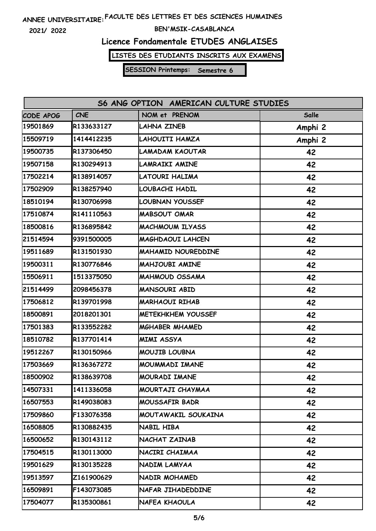**2021/ 2022**

#### **BEN'MSIK-CASABLANCA**

# **Licence Fondamentale ETUDES ANGLAISES**

**LISTES DES ETUDIANTS INSCRITS AUX EXAMENS**

| S6 ANG OPTION AMERICAN CULTURE STUDIES |            |                           |         |  |
|----------------------------------------|------------|---------------------------|---------|--|
| CODE APOG                              | <b>CNE</b> | NOM et PRENOM             | Salle   |  |
| 19501869                               | R133633127 | LAHNA ZINEB               | Amphi 2 |  |
| 15509719                               | 1414412235 | LAHOUITI HAMZA            | Amphi 2 |  |
| 19500735                               | R137306450 | LAMADAM KAOUTAR           | 42      |  |
| 19507158                               | R130294913 | <b>LAMRAIKI AMINE</b>     | 42      |  |
| 17502214                               | R138914057 | LATOURI HALIMA            | 42      |  |
| 17502909                               | R138257940 | LOUBACHI HADIL            | 42      |  |
| 18510194                               | R130706998 | LOUBNAN YOUSSEF           | 42      |  |
| 17510874                               | R141110563 | <b>MABSOUT OMAR</b>       | 42      |  |
| 18500816                               | R136895842 | <b>MACHMOUM ILYASS</b>    | 42      |  |
| 21514594                               | 9391500005 | <b>MAGHDAOUI LAHCEN</b>   | 42      |  |
| 19511689                               | R131501930 | <b>MAHAMID NOUREDDINE</b> | 42      |  |
| 19500311                               | R130776846 | MAHJOUBI AMINE            | 42      |  |
| 15506911                               | 1513375050 | <b>MAHMOUD OSSAMA</b>     | 42      |  |
| 21514499                               | 2098456378 | <b>MANSOURI ABID</b>      | 42      |  |
| 17506812                               | R139701998 | <b>MARHAOUI RIHAB</b>     | 42      |  |
| 18500891                               | 2018201301 | <b>METEKHKHEM YOUSSEF</b> | 42      |  |
| 17501383                               | R133552282 | <b>MGHABER MHAMED</b>     | 42      |  |
| 18510782                               | R137701414 | <b>MIMI ASSYA</b>         | 42      |  |
| 19512267                               | R130150966 | MOUJIB LOUBNA             | 42      |  |
| 17503669                               | R136367272 | MOUMMADI IMANE            | 42      |  |
| 18500902                               | R138639708 | MOURADI IMANE             | 42      |  |
| 14507331                               | 1411336058 | MOURTAJI CHAYMAA          | 42      |  |
| 16507553                               | R149038083 | <b>MOUSSAFIR BADR</b>     | 42      |  |
| 17509860                               | F133076358 | MOUTAWAKIL SOUKAINA       | 42      |  |
| 16508805                               | R130882435 | NABIL HIBA                | 42      |  |
| 16500652                               | R130143112 | NACHAT ZAINAB             | 42      |  |
| 17504515                               | R130113000 | NACIRI CHAIMAA            | 42      |  |
| 19501629                               | R130135228 | NADIM LAMYAA              | 42      |  |
| 19513597                               | Z161900629 | NADIR MOHAMED             | 42      |  |
| 16509891                               | F143073085 | NAFAR JIHADEDDINE         | 42      |  |
| 17504077                               | R135300861 | NAFEA KHAOULA             | 42      |  |